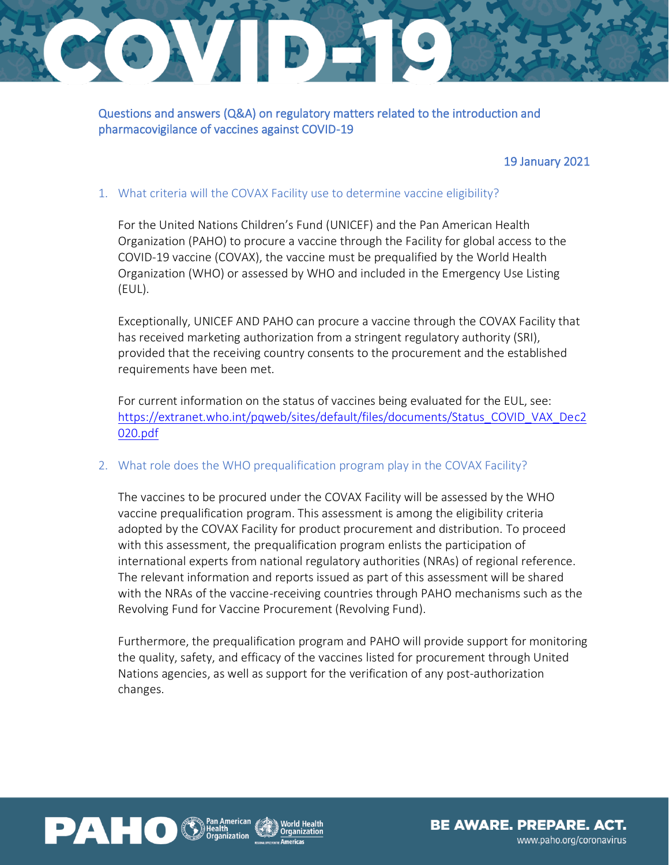# GAVEDE

Questions and answers (Q&A) on regulatory matters related to the introduction and pharmacovigilance of vaccines against COVID-19

## 19 January 2021

## 1. What criteria will the COVAX Facility use to determine vaccine eligibility?

For the United Nations Children's Fund (UNICEF) and the Pan American Health Organization (PAHO) to procure a vaccine through the Facility for global access to the COVID-19 vaccine (COVAX), the vaccine must be prequalified by the World Health Organization (WHO) or assessed by WHO and included in the Emergency Use Listing (EUL).

Exceptionally, UNICEF AND PAHO can procure a vaccine through the COVAX Facility that has received marketing authorization from a stringent regulatory authority (SRI), provided that the receiving country consents to the procurement and the established requirements have been met.

For current information on the status of vaccines being evaluated for the EUL, see: https://extranet.who.int/pqweb/sites/default/files/documents/Status\_COVID\_VAX\_Dec2 020.pdf

## 2. What role does the WHO prequalification program play in the COVAX Facility?

The vaccines to be procured under the COVAX Facility will be assessed by the WHO vaccine prequalification program. This assessment is among the eligibility criteria adopted by the COVAX Facility for product procurement and distribution. To proceed with this assessment, the prequalification program enlists the participation of international experts from national regulatory authorities (NRAs) of regional reference. The relevant information and reports issued as part of this assessment will be shared with the NRAs of the vaccine-receiving countries through PAHO mechanisms such as the Revolving Fund for Vaccine Procurement (Revolving Fund).

Furthermore, the prequalification program and PAHO will provide support for monitoring the quality, safety, and efficacy of the vaccines listed for procurement through United Nations agencies, as well as support for the verification of any post-authorization changes.



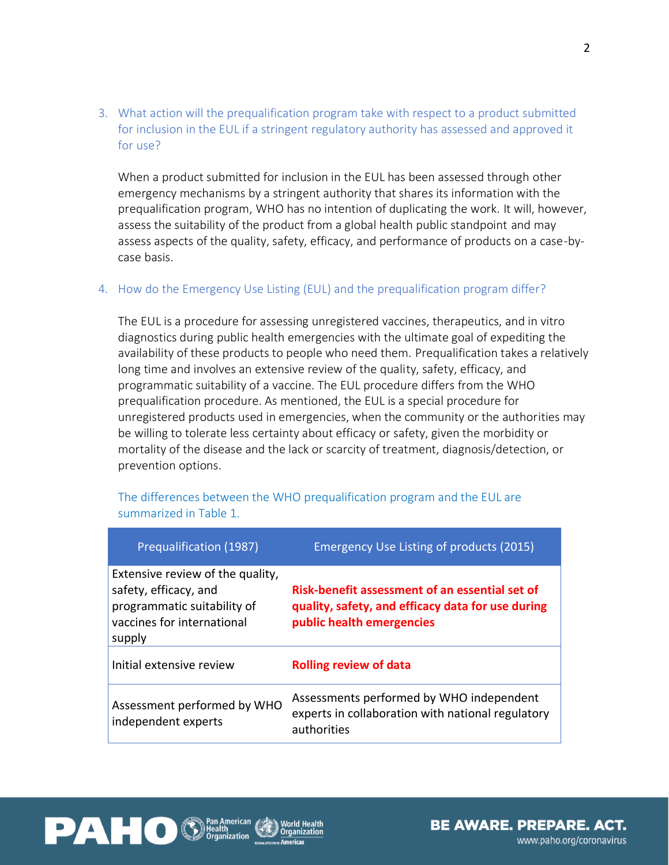3. What action will the prequalification program take with respect to a product submitted for inclusion in the EUL if a stringent regulatory authority has assessed and approved it for use?

When a product submitted for inclusion in the EUL has been assessed through other emergency mechanisms by a stringent authority that shares its information with the prequalification program, WHO has no intention of duplicating the work. It will, however, assess the suitability of the product from a global health public standpoint and may assess aspects of the quality, safety, efficacy, and performance of products on a case-bycase basis.

### 4. How do the Emergency Use Listing (EUL) and the prequalification program differ?

The EUL is a procedure for assessing unregistered vaccines, therapeutics, and in vitro diagnostics during public health emergencies with the ultimate goal of expediting the availability of these products to people who need them. Prequalification takes a relatively long time and involves an extensive review of the quality, safety, efficacy, and programmatic suitability of a vaccine. The EUL procedure differs from the WHO prequalification procedure. As mentioned, the EUL is a special procedure for unregistered products used in emergencies, when the community or the authorities may be willing to tolerate less certainty about efficacy or safety, given the morbidity or mortality of the disease and the lack or scarcity of treatment, diagnosis/detection, or prevention options.

| Prequalification (1987)                                                                                                          | Emergency Use Listing of products (2015)                                                                                         |
|----------------------------------------------------------------------------------------------------------------------------------|----------------------------------------------------------------------------------------------------------------------------------|
| Extensive review of the quality,<br>safety, efficacy, and<br>programmatic suitability of<br>vaccines for international<br>supply | Risk-benefit assessment of an essential set of<br>quality, safety, and efficacy data for use during<br>public health emergencies |
| Initial extensive review                                                                                                         | <b>Rolling review of data</b>                                                                                                    |
| Assessment performed by WHO<br>independent experts                                                                               | Assessments performed by WHO independent<br>experts in collaboration with national regulatory<br>authorities                     |

The differences between the WHO prequalification program and the EUL are summarized in Table 1.

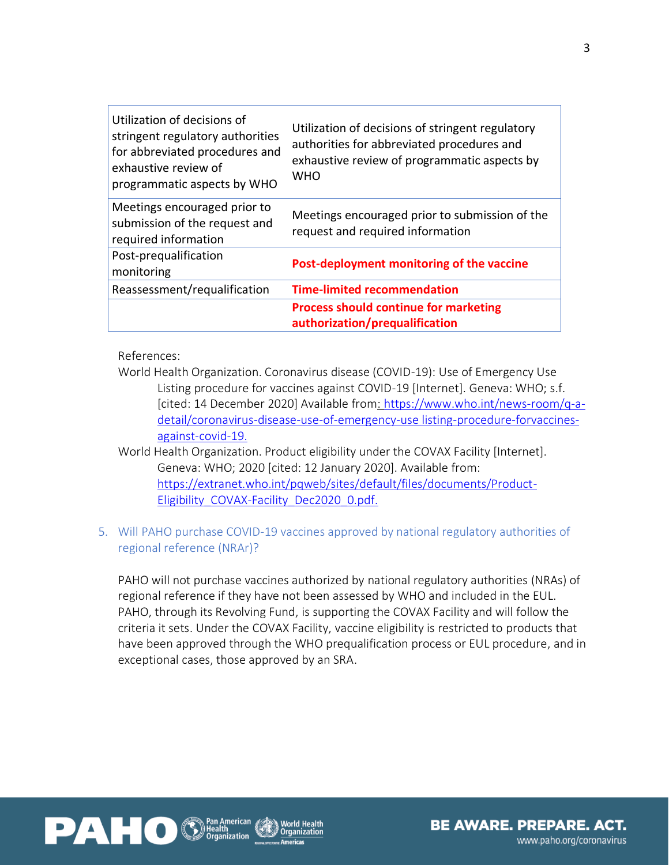| Utilization of decisions of<br>stringent regulatory authorities<br>for abbreviated procedures and<br>exhaustive review of<br>programmatic aspects by WHO | Utilization of decisions of stringent regulatory<br>authorities for abbreviated procedures and<br>exhaustive review of programmatic aspects by<br><b>WHO</b> |
|----------------------------------------------------------------------------------------------------------------------------------------------------------|--------------------------------------------------------------------------------------------------------------------------------------------------------------|
| Meetings encouraged prior to<br>submission of the request and<br>required information                                                                    | Meetings encouraged prior to submission of the<br>request and required information                                                                           |
| Post-prequalification<br>monitoring                                                                                                                      | Post-deployment monitoring of the vaccine                                                                                                                    |
| Reassessment/requalification                                                                                                                             | <b>Time-limited recommendation</b>                                                                                                                           |
|                                                                                                                                                          | <b>Process should continue for marketing</b><br>authorization/prequalification                                                                               |

References:

- World Health Organization. Coronavirus disease (COVID-19): Use of Emergency Use Listing procedure for vaccines against COVID-19 [Internet]. Geneva: WHO; s.f. [cited: 14 December 2020] Available from: [https://www.who.int/news-room/q-a](https://www.who.int/news-room/q-a-detail/coronavirus-disease-use-of-emergency-use%20listing-procedure-forvaccines-against-covid-19)[detail/coronavirus-disease-use-of-emergency-use](https://www.who.int/news-room/q-a-detail/coronavirus-disease-use-of-emergency-use%20listing-procedure-forvaccines-against-covid-19) listing-procedure-forvaccines[against-covid-19.](https://www.who.int/news-room/q-a-detail/coronavirus-disease-use-of-emergency-use%20listing-procedure-forvaccines-against-covid-19)
- World Health Organization. Product eligibility under the COVAX Facility [Internet]. Geneva: WHO; 2020 [cited: 12 January 2020]. Available from: [https://extranet.who.int/pqweb/sites/default/files/documents/Product-](https://extranet.who.int/pqweb/sites/default/files/documents/Product-Eligibility_COVAX-Facility_Dec2020_0.pdf)[Eligibility\\_COVAX-Facility\\_Dec2020\\_0.pdf.](https://extranet.who.int/pqweb/sites/default/files/documents/Product-Eligibility_COVAX-Facility_Dec2020_0.pdf)
- 5. Will PAHO purchase COVID-19 vaccines approved by national regulatory authorities of regional reference (NRAr)?

PAHO will not purchase vaccines authorized by national regulatory authorities (NRAs) of regional reference if they have not been assessed by WHO and included in the EUL. PAHO, through its Revolving Fund, is supporting the COVAX Facility and will follow the criteria it sets. Under the COVAX Facility, vaccine eligibility is restricted to products that have been approved through the WHO prequalification process or EUL procedure, and in exceptional cases, those approved by an SRA.

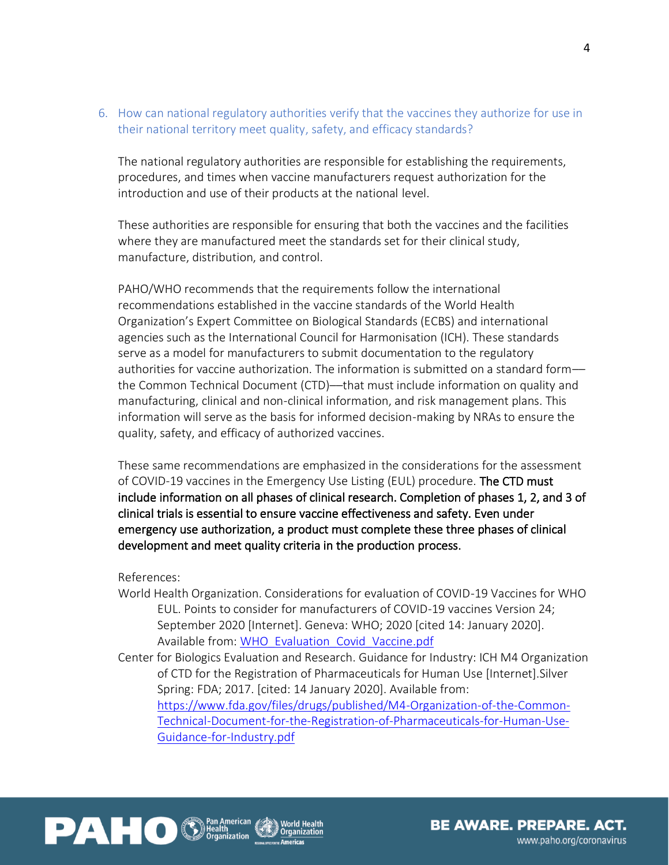6. How can national regulatory authorities verify that the vaccines they authorize for use in their national territory meet quality, safety, and efficacy standards?

The national regulatory authorities are responsible for establishing the requirements, procedures, and times when vaccine manufacturers request authorization for the introduction and use of their products at the national level.

These authorities are responsible for ensuring that both the vaccines and the facilities where they are manufactured meet the standards set for their clinical study, manufacture, distribution, and control.

PAHO/WHO recommends that the requirements follow the international recommendations established in the vaccine standards of the World Health Organization's Expert Committee on Biological Standards (ECBS) and international agencies such as the International Council for Harmonisation (ICH). These standards serve as a model for manufacturers to submit documentation to the regulatory authorities for vaccine authorization. The information is submitted on a standard form the Common Technical Document (CTD)––that must include information on quality and manufacturing, clinical and non-clinical information, and risk management plans. This information will serve as the basis for informed decision-making by NRAs to ensure the quality, safety, and efficacy of authorized vaccines.

These same recommendations are emphasized in the considerations for the assessment of COVID-19 vaccines in the Emergency Use Listing (EUL) procedure. The CTD must include information on all phases of clinical research. Completion of phases 1, 2, and 3 of clinical trials is essential to ensure vaccine effectiveness and safety. Even under emergency use authorization, a product must complete these three phases of clinical development and meet quality criteria in the production process.

References:

- World Health Organization. Considerations for evaluation of COVID-19 Vaccines for WHO EUL. Points to consider for manufacturers of COVID-19 vaccines Version 24; September 2020 [Internet]. Geneva: WHO; 2020 [cited 14: January 2020]. Available from: [WHO\\_Evaluation\\_Covid\\_Vaccine.pdf](https://www.who.int/medicines/regulation/prequalification/prequal-vaccines/WHO_Evaluation_Covid_Vaccine.pdf?ua=1)
- Center for Biologics Evaluation and Research. Guidance for Industry: ICH M4 Organization of CTD for the Registration of Pharmaceuticals for Human Use [Internet].Silver Spring: FDA; 2017. [cited: 14 January 2020]. Available from: [https://www.fda.gov/files/drugs/published/M4-Organization-of-the-Common-](https://www.fda.gov/files/drugs/published/M4-Organization-of-the-Common-Technical-Document-for-the-Registration-of-Pharmaceuticals-for-Human-Use-Guidance-for-Industry.pdf)[Technical-Document-for-the-Registration-of-Pharmaceuticals-for-Human-Use-](https://www.fda.gov/files/drugs/published/M4-Organization-of-the-Common-Technical-Document-for-the-Registration-of-Pharmaceuticals-for-Human-Use-Guidance-for-Industry.pdf)[Guidance-for-Industry.pdf](https://www.fda.gov/files/drugs/published/M4-Organization-of-the-Common-Technical-Document-for-the-Registration-of-Pharmaceuticals-for-Human-Use-Guidance-for-Industry.pdf)

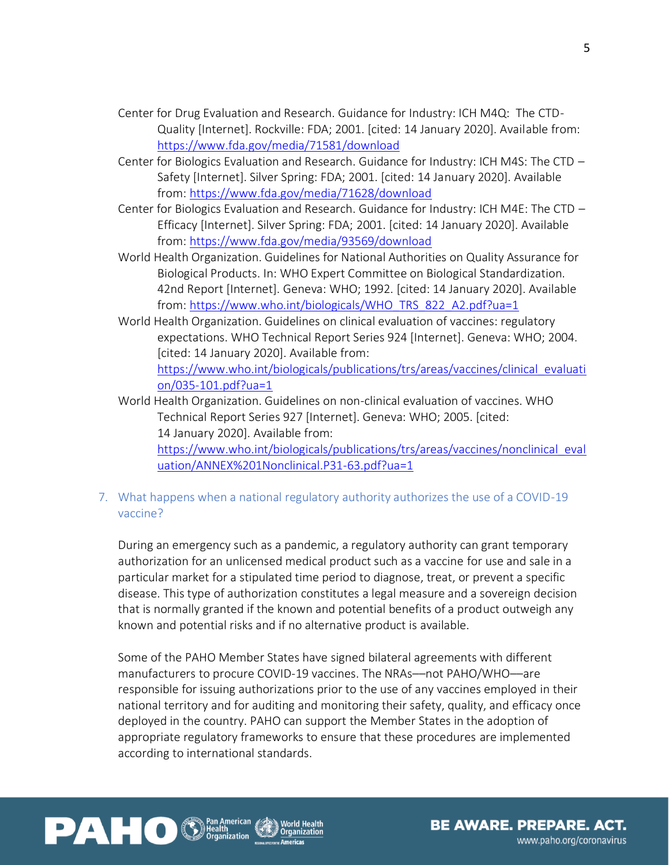- Center for Drug Evaluation and Research. Guidance for Industry: ICH M4Q: The CTD-Quality [Internet]. Rockville: FDA; 2001. [cited: 14 January 2020]. Available from: <https://www.fda.gov/media/71581/download>
- Center for Biologics Evaluation and Research. Guidance for Industry: ICH M4S: The CTD Safety [Internet]. Silver Spring: FDA; 2001. [cited: 14 January 2020]. Available from:<https://www.fda.gov/media/71628/download>
- Center for Biologics Evaluation and Research. Guidance for Industry: ICH M4E: The CTD Efficacy [Internet]. Silver Spring: FDA; 2001. [cited: 14 January 2020]. Available from:<https://www.fda.gov/media/93569/download>
- World Health Organization. Guidelines for National Authorities on Quality Assurance for Biological Products. In: WHO Expert Committee on Biological Standardization. 42nd Report [Internet]. Geneva: WHO; 1992. [cited: 14 January 2020]. Available from: [https://www.who.int/biologicals/WHO\\_TRS\\_822\\_A2.pdf?ua=1](https://www.who.int/biologicals/WHO_TRS_822_A2.pdf?ua=1)
- World Health Organization. Guidelines on clinical evaluation of vaccines: regulatory expectations. WHO Technical Report Series 924 [Internet]. Geneva: WHO; 2004. [cited: 14 January 2020]. Available from: https://www.who.int/biologicals/publications/trs/areas/vaccines/clinical\_evaluati on/035-101.pdf?ua=1
- World Health Organization. Guidelines on non-clinical evaluation of vaccines. WHO Technical Report Series 927 [Internet]. Geneva: WHO; 2005. [cited: 14 January 2020]. Available from: [https://www.who.int/biologicals/publications/trs/areas/vaccines/nonclinical\\_eval](https://www.who.int/biologicals/publications/trs/areas/vaccines/nonclinical_evaluation/ANNEX%201Nonclinical.P31-63.pdf?ua=1)\_ [uation/ANNEX%201Nonclinical.P31-63.pdf?ua=1](https://www.who.int/biologicals/publications/trs/areas/vaccines/nonclinical_evaluation/ANNEX%201Nonclinical.P31-63.pdf?ua=1)
- 7. What happens when a national regulatory authority authorizes the use of a COVID-19 vaccine?

During an emergency such as a pandemic, a regulatory authority can grant temporary authorization for an unlicensed medical product such as a vaccine for use and sale in a particular market for a stipulated time period to diagnose, treat, or prevent a specific disease. This type of authorization constitutes a legal measure and a sovereign decision that is normally granted if the known and potential benefits of a product outweigh any known and potential risks and if no alternative product is available.

Some of the PAHO Member States have signed bilateral agreements with different manufacturers to procure COVID-19 vaccines. The NRAs––not PAHO/WHO––are responsible for issuing authorizations prior to the use of any vaccines employed in their national territory and for auditing and monitoring their safety, quality, and efficacy once deployed in the country. PAHO can support the Member States in the adoption of appropriate regulatory frameworks to ensure that these procedures are implemented according to international standards.



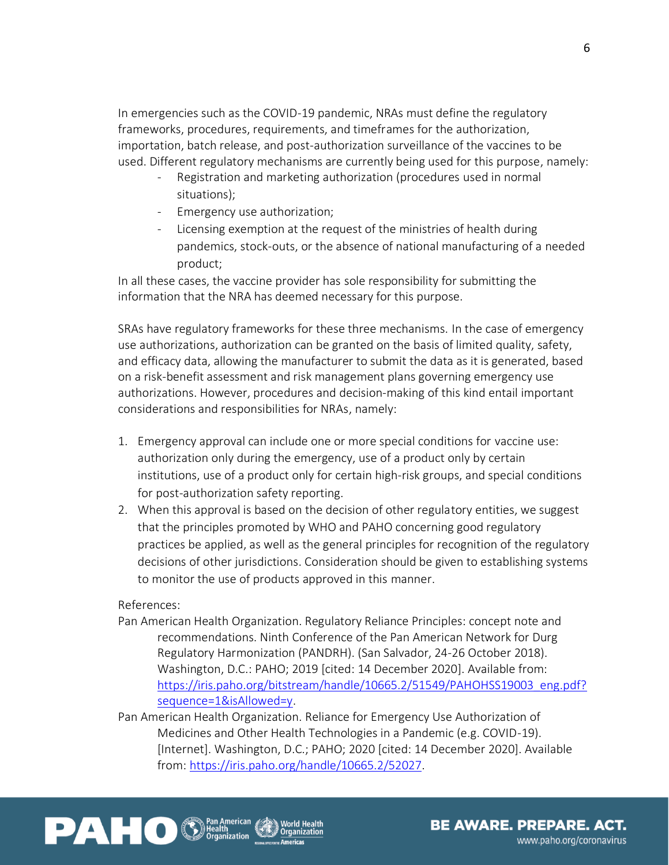In emergencies such as the COVID-19 pandemic, NRAs must define the regulatory frameworks, procedures, requirements, and timeframes for the authorization, importation, batch release, and post-authorization surveillance of the vaccines to be used. Different regulatory mechanisms are currently being used for this purpose, namely:

- Registration and marketing authorization (procedures used in normal situations);
- Emergency use authorization;
- Licensing exemption at the request of the ministries of health during pandemics, stock-outs, or the absence of national manufacturing of a needed product;

In all these cases, the vaccine provider has sole responsibility for submitting the information that the NRA has deemed necessary for this purpose.

SRAs have regulatory frameworks for these three mechanisms. In the case of emergency use authorizations, authorization can be granted on the basis of limited quality, safety, and efficacy data, allowing the manufacturer to submit the data as it is generated, based on a risk-benefit assessment and risk management plans governing emergency use authorizations. However, procedures and decision-making of this kind entail important considerations and responsibilities for NRAs, namely:

- 1. Emergency approval can include one or more special conditions for vaccine use: authorization only during the emergency, use of a product only by certain institutions, use of a product only for certain high-risk groups, and special conditions for post-authorization safety reporting.
- 2. When this approval is based on the decision of other regulatory entities, we suggest that the principles promoted by WHO and PAHO concerning good regulatory practices be applied, as well as the general principles for recognition of the regulatory decisions of other jurisdictions. Consideration should be given to establishing systems to monitor the use of products approved in this manner.

## References:

- Pan American Health Organization. Regulatory Reliance Principles: concept note and recommendations. Ninth Conference of the Pan American Network for Durg Regulatory Harmonization (PANDRH). (San Salvador, 24-26 October 2018). Washington, D.C.: PAHO; 2019 [cited: 14 December 2020]. Available from: [https://iris.paho.org/bitstream/handle/10665.2/51549/PAHOHSS19003\\_eng.pdf?](https://iris.paho.org/bitstream/handle/10665.2/51549/PAHOHSS19003_eng.pdf?sequence=1&isAllowed=y) [sequence=1&isAllowed=y.](https://iris.paho.org/bitstream/handle/10665.2/51549/PAHOHSS19003_eng.pdf?sequence=1&isAllowed=y)
- Pan American Health Organization. Reliance for Emergency Use Authorization of Medicines and Other Health Technologies in a Pandemic (e.g. COVID-19). [Internet]. Washington, D.C.; PAHO; 2020 [cited: 14 December 2020]. Available from: [https://iris.paho.org/handle/10665.2/52027.](https://iris.paho.org/handle/10665.2/52027)



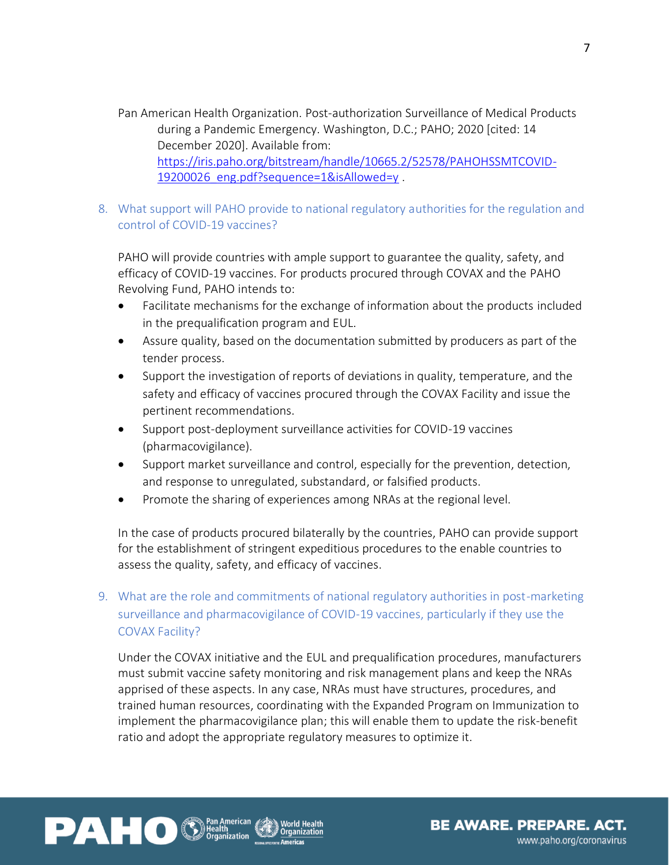Pan American Health Organization. Post-authorization Surveillance of Medical Products during a Pandemic Emergency. Washington, D.C.; PAHO; 2020 [cited: 14 December 2020]. Available from: [https://iris.paho.org/bitstream/handle/10665.2/52578/PAHOHSSMTCOVID-](https://iris.paho.org/bitstream/handle/10665.2/52578/PAHOHSSMTCOVID-19200026_eng.pdf?sequence=1&isAllowed=y)19200026 eng.pdf?sequence=1&isAllowed=y.

# 8. What support will PAHO provide to national regulatory authorities for the regulation and control of COVID-19 vaccines?

PAHO will provide countries with ample support to guarantee the quality, safety, and efficacy of COVID-19 vaccines. For products procured through COVAX and the PAHO Revolving Fund, PAHO intends to:

- Facilitate mechanisms for the exchange of information about the products included in the prequalification program and EUL.
- Assure quality, based on the documentation submitted by producers as part of the tender process.
- Support the investigation of reports of deviations in quality, temperature, and the safety and efficacy of vaccines procured through the COVAX Facility and issue the pertinent recommendations.
- Support post-deployment surveillance activities for COVID-19 vaccines (pharmacovigilance).
- Support market surveillance and control, especially for the prevention, detection, and response to unregulated, substandard, or falsified products.
- Promote the sharing of experiences among NRAs at the regional level.

In the case of products procured bilaterally by the countries, PAHO can provide support for the establishment of stringent expeditious procedures to the enable countries to assess the quality, safety, and efficacy of vaccines.

# 9. What are the role and commitments of national regulatory authorities in post-marketing surveillance and pharmacovigilance of COVID-19 vaccines, particularly if they use the COVAX Facility?

Under the COVAX initiative and the EUL and prequalification procedures, manufacturers must submit vaccine safety monitoring and risk management plans and keep the NRAs apprised of these aspects. In any case, NRAs must have structures, procedures, and trained human resources, coordinating with the Expanded Program on Immunization to implement the pharmacovigilance plan; this will enable them to update the risk-benefit ratio and adopt the appropriate regulatory measures to optimize it.



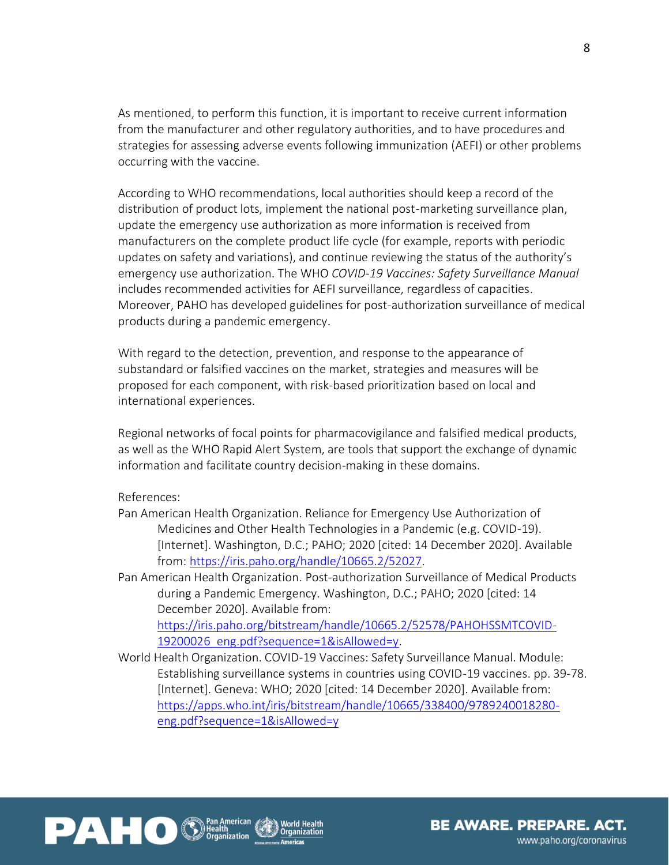As mentioned, to perform this function, it is important to receive current information from the manufacturer and other regulatory authorities, and to have procedures and strategies for assessing adverse events following immunization (AEFI) or other problems occurring with the vaccine.

According to WHO recommendations, local authorities should keep a record of the distribution of product lots, implement the national post-marketing surveillance plan, update the emergency use authorization as more information is received from manufacturers on the complete product life cycle (for example, reports with periodic updates on safety and variations), and continue reviewing the status of the authority's emergency use authorization. The WHO *COVID-19 Vaccines: Safety Surveillance Manual* includes recommended activities for AEFI surveillance, regardless of capacities. Moreover, PAHO has developed guidelines for post-authorization surveillance of medical products during a pandemic emergency.

With regard to the detection, prevention, and response to the appearance of substandard or falsified vaccines on the market, strategies and measures will be proposed for each component, with risk-based prioritization based on local and international experiences.

Regional networks of focal points for pharmacovigilance and falsified medical products, as well as the WHO Rapid Alert System, are tools that support the exchange of dynamic information and facilitate country decision-making in these domains.

References:

Pan American Health Organization. Reliance for Emergency Use Authorization of Medicines and Other Health Technologies in a Pandemic (e.g. COVID-19). [Internet]. Washington, D.C.; PAHO; 2020 [cited: 14 December 2020]. Available from: [https://iris.paho.org/handle/10665.2/52027.](https://iris.paho.org/handle/10665.2/52027)

Pan American Health Organization. Post-authorization Surveillance of Medical Products during a Pandemic Emergency. Washington, D.C.; PAHO; 2020 [cited: 14 December 2020]. Available from: [https://iris.paho.org/bitstream/handle/10665.2/52578/PAHOHSSMTCOVID-](https://iris.paho.org/bitstream/handle/10665.2/52578/PAHOHSSMTCOVID-19200026_eng.pdf?sequence=1&isAllowed=y)

19200026 eng.pdf?sequence=1&isAllowed=y.

World Health Organization. COVID-19 Vaccines: Safety Surveillance Manual. Module: Establishing surveillance systems in countries using COVID-19 vaccines. pp. 39-78. [Internet]. Geneva: WHO; 2020 [cited: 14 December 2020]. Available from: [https://apps.who.int/iris/bitstream/handle/10665/338400/9789240018280](https://apps.who.int/iris/bitstream/handle/10665/338400/9789240018280-eng.pdf?sequence=1&isAllowed=y) [eng.pdf?sequence=1&isAllowed=y](https://apps.who.int/iris/bitstream/handle/10665/338400/9789240018280-eng.pdf?sequence=1&isAllowed=y)



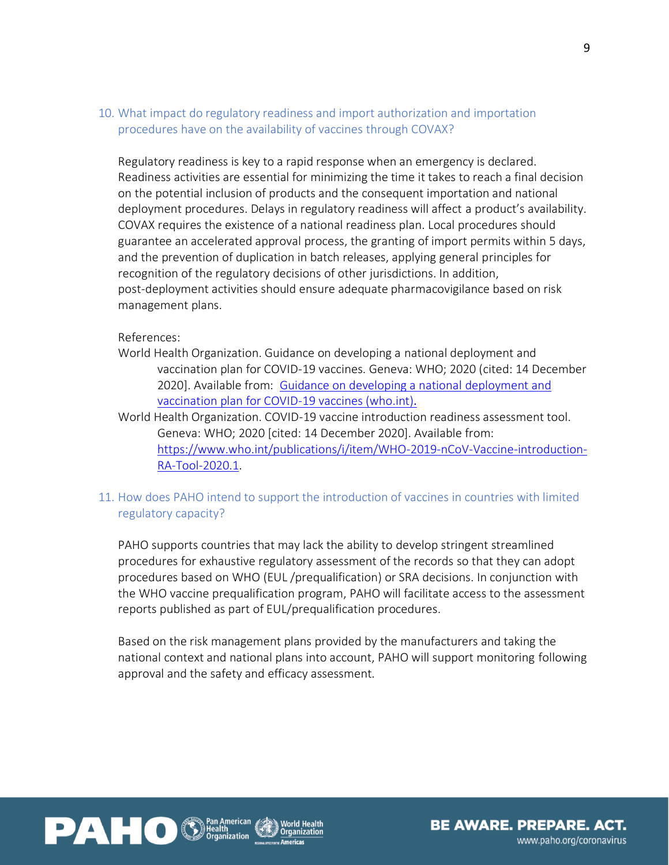## 10. What impact do regulatory readiness and import authorization and importation procedures have on the availability of vaccines through COVAX?

Regulatory readiness is key to a rapid response when an emergency is declared. Readiness activities are essential for minimizing the time it takes to reach a final decision on the potential inclusion of products and the consequent importation and national deployment procedures. Delays in regulatory readiness will affect a product's availability. COVAX requires the existence of a national readiness plan. Local procedures should guarantee an accelerated approval process, the granting of import permits within 5 days, and the prevention of duplication in batch releases, applying general principles for recognition of the regulatory decisions of other jurisdictions. In addition, post-deployment activities should ensure adequate pharmacovigilance based on risk management plans.

#### References:

World Health Organization. Guidance on developing a national deployment and vaccination plan for COVID-19 vaccines. Geneva: WHO; 2020 (cited: 14 December 2020]. Available from: [Guidance on developing a national](https://www.who.int/publications/i/item/WHO-2019-nCoV-Vaccine_deployment-2020.1) deployment and [vaccination plan for COVID-19 vaccines \(who.int\)](https://www.who.int/publications/i/item/WHO-2019-nCoV-Vaccine_deployment-2020.1).

World Health Organization. COVID-19 vaccine introduction readiness assessment tool. Geneva: WHO; 2020 [cited: 14 December 2020]. Available from: [https://www.who.int/publications/i/item/WHO-2019-nCoV-Vaccine-introduction-](https://www.who.int/publications/i/item/WHO-2019-nCoV-Vaccine-introduction-RA-Tool-2020.1)[RA-Tool-2020.1.](https://www.who.int/publications/i/item/WHO-2019-nCoV-Vaccine-introduction-RA-Tool-2020.1)

## 11. How does PAHO intend to support the introduction of vaccines in countries with limited regulatory capacity?

PAHO supports countries that may lack the ability to develop stringent streamlined procedures for exhaustive regulatory assessment of the records so that they can adopt procedures based on WHO (EUL /prequalification) or SRA decisions. In conjunction with the WHO vaccine prequalification program, PAHO will facilitate access to the assessment reports published as part of EUL/prequalification procedures.

Based on the risk management plans provided by the manufacturers and taking the national context and national plans into account, PAHO will support monitoring following approval and the safety and efficacy assessment.